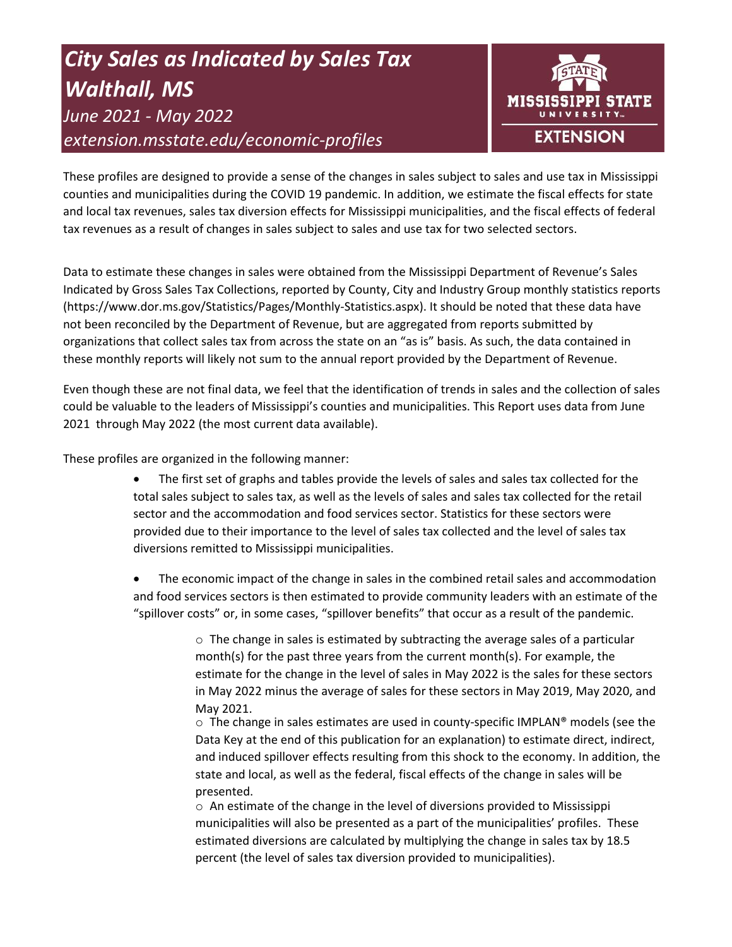# *City Sales as Indicated by Sales Tax Walthall, MS June 2021 - May 2022 extension.msstate.edu/economic-profiles*



These profiles are designed to provide a sense of the changes in sales subject to sales and use tax in Mississippi counties and municipalities during the COVID 19 pandemic. In addition, we estimate the fiscal effects for state and local tax revenues, sales tax diversion effects for Mississippi municipalities, and the fiscal effects of federal tax revenues as a result of changes in sales subject to sales and use tax for two selected sectors.

Data to estimate these changes in sales were obtained from the Mississippi Department of Revenue's Sales Indicated by Gross Sales Tax Collections, reported by County, City and Industry Group monthly statistics reports (https://www.dor.ms.gov/Statistics/Pages/Monthly-Statistics.aspx). It should be noted that these data have not been reconciled by the Department of Revenue, but are aggregated from reports submitted by organizations that collect sales tax from across the state on an "as is" basis. As such, the data contained in these monthly reports will likely not sum to the annual report provided by the Department of Revenue.

Even though these are not final data, we feel that the identification of trends in sales and the collection of sales could be valuable to the leaders of Mississippi's counties and municipalities. This Report uses data from June 2021 through May 2022 (the most current data available).

These profiles are organized in the following manner:

- The first set of graphs and tables provide the levels of sales and sales tax collected for the total sales subject to sales tax, as well as the levels of sales and sales tax collected for the retail sector and the accommodation and food services sector. Statistics for these sectors were provided due to their importance to the level of sales tax collected and the level of sales tax diversions remitted to Mississippi municipalities.
- The economic impact of the change in sales in the combined retail sales and accommodation and food services sectors is then estimated to provide community leaders with an estimate of the "spillover costs" or, in some cases, "spillover benefits" that occur as a result of the pandemic.

 $\circ$  The change in sales is estimated by subtracting the average sales of a particular month(s) for the past three years from the current month(s). For example, the estimate for the change in the level of sales in May 2022 is the sales for these sectors in May 2022 minus the average of sales for these sectors in May 2019, May 2020, and May 2021.

 $\circ$  The change in sales estimates are used in county-specific IMPLAN® models (see the Data Key at the end of this publication for an explanation) to estimate direct, indirect, and induced spillover effects resulting from this shock to the economy. In addition, the state and local, as well as the federal, fiscal effects of the change in sales will be presented.

 $\circ$  An estimate of the change in the level of diversions provided to Mississippi municipalities will also be presented as a part of the municipalities' profiles. These estimated diversions are calculated by multiplying the change in sales tax by 18.5 percent (the level of sales tax diversion provided to municipalities).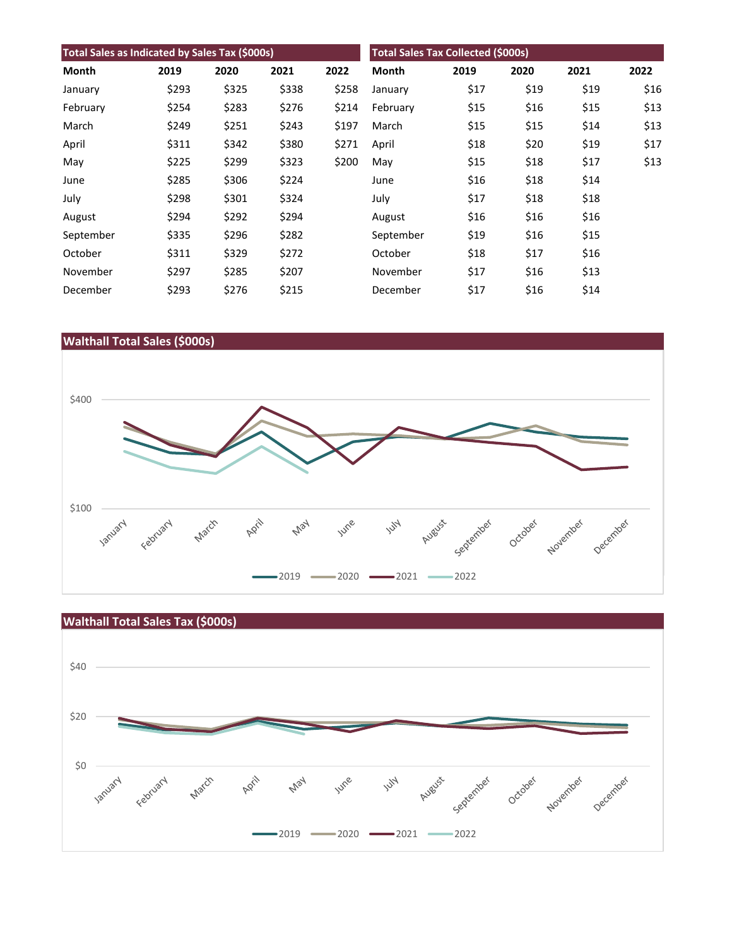| Total Sales as Indicated by Sales Tax (\$000s) |       |       |       |       | <b>Total Sales Tax Collected (\$000s)</b> |      |      |      |      |
|------------------------------------------------|-------|-------|-------|-------|-------------------------------------------|------|------|------|------|
| Month                                          | 2019  | 2020  | 2021  | 2022  | <b>Month</b>                              | 2019 | 2020 | 2021 | 2022 |
| January                                        | \$293 | \$325 | \$338 | \$258 | January                                   | \$17 | \$19 | \$19 | \$16 |
| February                                       | \$254 | \$283 | \$276 | \$214 | February                                  | \$15 | \$16 | \$15 | \$13 |
| March                                          | \$249 | \$251 | \$243 | \$197 | March                                     | \$15 | \$15 | \$14 | \$13 |
| April                                          | \$311 | \$342 | \$380 | \$271 | April                                     | \$18 | \$20 | \$19 | \$17 |
| May                                            | \$225 | \$299 | \$323 | \$200 | May                                       | \$15 | \$18 | \$17 | \$13 |
| June                                           | \$285 | \$306 | \$224 |       | June                                      | \$16 | \$18 | \$14 |      |
| July                                           | \$298 | \$301 | \$324 |       | July                                      | \$17 | \$18 | \$18 |      |
| August                                         | \$294 | \$292 | \$294 |       | August                                    | \$16 | \$16 | \$16 |      |
| September                                      | \$335 | \$296 | \$282 |       | September                                 | \$19 | \$16 | \$15 |      |
| October                                        | \$311 | \$329 | \$272 |       | October                                   | \$18 | \$17 | \$16 |      |
| November                                       | \$297 | \$285 | \$207 |       | November                                  | \$17 | \$16 | \$13 |      |
| December                                       | \$293 | \$276 | \$215 |       | December                                  | \$17 | \$16 | \$14 |      |



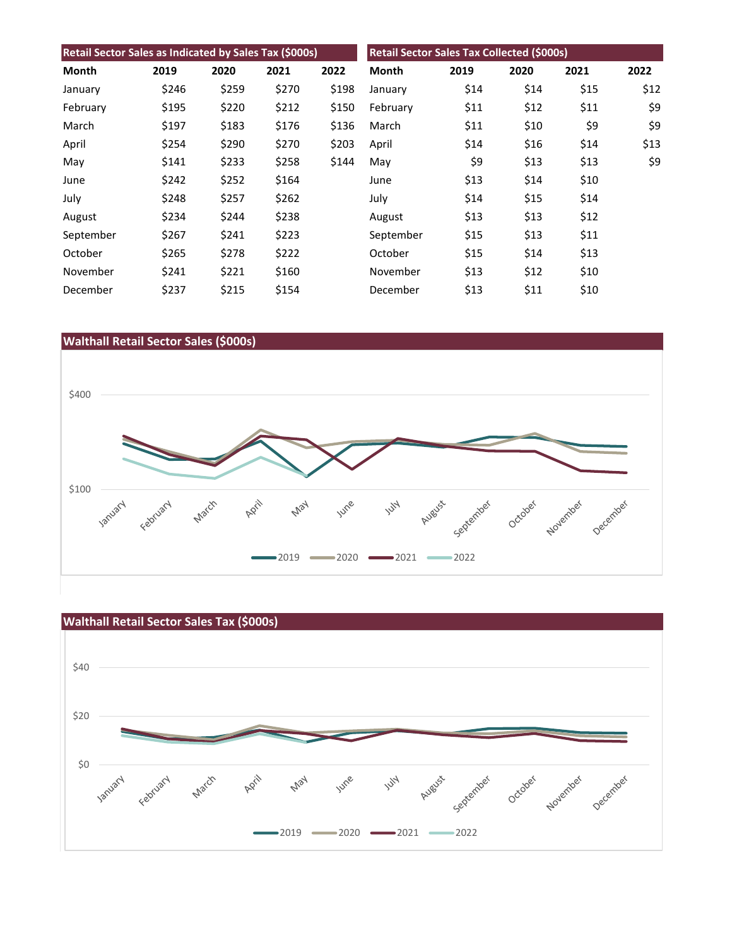| Retail Sector Sales as Indicated by Sales Tax (\$000s) |       |       |       |       | Retail Sector Sales Tax Collected (\$000s) |      |      |      |      |
|--------------------------------------------------------|-------|-------|-------|-------|--------------------------------------------|------|------|------|------|
| Month                                                  | 2019  | 2020  | 2021  | 2022  | Month                                      | 2019 | 2020 | 2021 | 2022 |
| January                                                | \$246 | \$259 | \$270 | \$198 | January                                    | \$14 | \$14 | \$15 | \$12 |
| February                                               | \$195 | \$220 | \$212 | \$150 | February                                   | \$11 | \$12 | \$11 | \$9  |
| March                                                  | \$197 | \$183 | \$176 | \$136 | March                                      | \$11 | \$10 | \$9  | \$9  |
| April                                                  | \$254 | \$290 | \$270 | \$203 | April                                      | \$14 | \$16 | \$14 | \$13 |
| May                                                    | \$141 | \$233 | \$258 | \$144 | May                                        | \$9  | \$13 | \$13 | \$9  |
| June                                                   | \$242 | \$252 | \$164 |       | June                                       | \$13 | \$14 | \$10 |      |
| July                                                   | \$248 | \$257 | \$262 |       | July                                       | \$14 | \$15 | \$14 |      |
| August                                                 | \$234 | \$244 | \$238 |       | August                                     | \$13 | \$13 | \$12 |      |
| September                                              | \$267 | \$241 | \$223 |       | September                                  | \$15 | \$13 | \$11 |      |
| October                                                | \$265 | \$278 | \$222 |       | October                                    | \$15 | \$14 | \$13 |      |
| November                                               | \$241 | \$221 | \$160 |       | November                                   | \$13 | \$12 | \$10 |      |
| December                                               | \$237 | \$215 | \$154 |       | December                                   | \$13 | \$11 | \$10 |      |





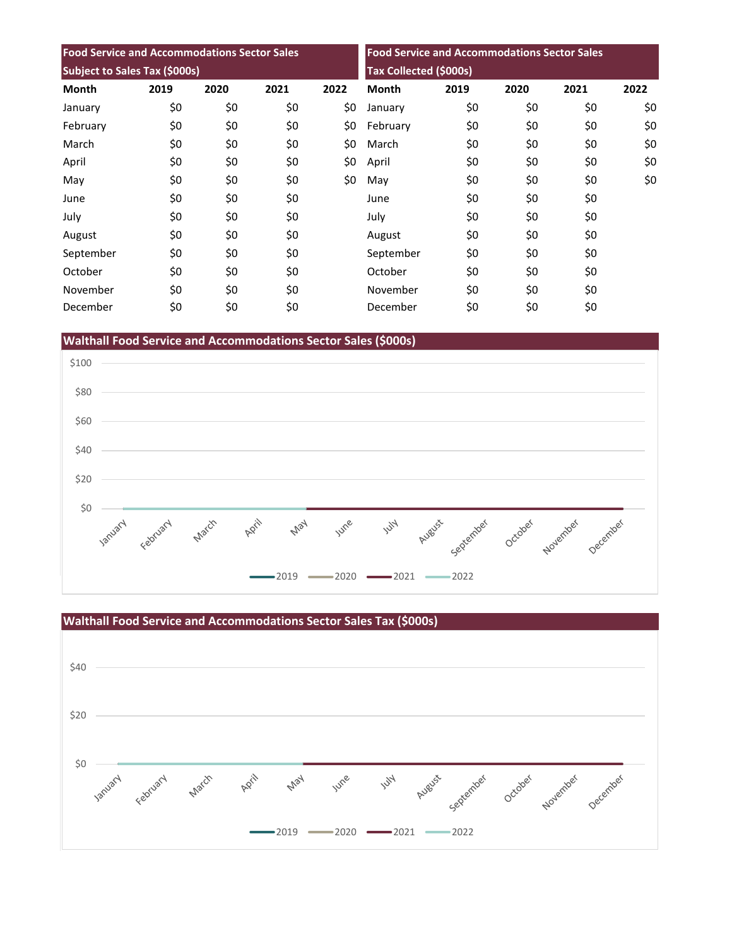| <b>Food Service and Accommodations Sector Sales</b> |      |      |      | <b>Food Service and Accommodations Sector Sales</b><br><b>Tax Collected (\$000s)</b> |              |      |      |      |      |
|-----------------------------------------------------|------|------|------|--------------------------------------------------------------------------------------|--------------|------|------|------|------|
| Subject to Sales Tax (\$000s)                       |      |      |      |                                                                                      |              |      |      |      |      |
| <b>Month</b>                                        | 2019 | 2020 | 2021 | 2022                                                                                 | <b>Month</b> | 2019 | 2020 | 2021 | 2022 |
| January                                             | \$0  | \$0  | \$0  | \$0                                                                                  | January      | \$0  | \$0  | \$0  | \$0  |
| February                                            | \$0  | \$0  | \$0  | \$0                                                                                  | February     | \$0  | \$0  | \$0  | \$0  |
| March                                               | \$0  | \$0  | \$0  | \$0                                                                                  | March        | \$0  | \$0  | \$0  | \$0  |
| April                                               | \$0  | \$0  | \$0  | \$0                                                                                  | April        | \$0  | \$0  | \$0  | \$0  |
| May                                                 | \$0  | \$0  | \$0  | \$0                                                                                  | May          | \$0  | \$0  | \$0  | \$0  |
| June                                                | \$0  | \$0  | \$0  |                                                                                      | June         | \$0  | \$0  | \$0  |      |
| July                                                | \$0  | \$0  | \$0  |                                                                                      | July         | \$0  | \$0  | \$0  |      |
| August                                              | \$0  | \$0  | \$0  |                                                                                      | August       | \$0  | \$0  | \$0  |      |
| September                                           | \$0  | \$0  | \$0  |                                                                                      | September    | \$0  | \$0  | \$0  |      |
| October                                             | \$0  | \$0  | \$0  |                                                                                      | October      | \$0  | \$0  | \$0  |      |
| November                                            | \$0  | \$0  | \$0  |                                                                                      | November     | \$0  | \$0  | \$0  |      |
| December                                            | \$0  | \$0  | \$0  |                                                                                      | December     | \$0  | \$0  | \$0  |      |

**Walthall Food Service and Accommodations Sector Sales (\$000s)**



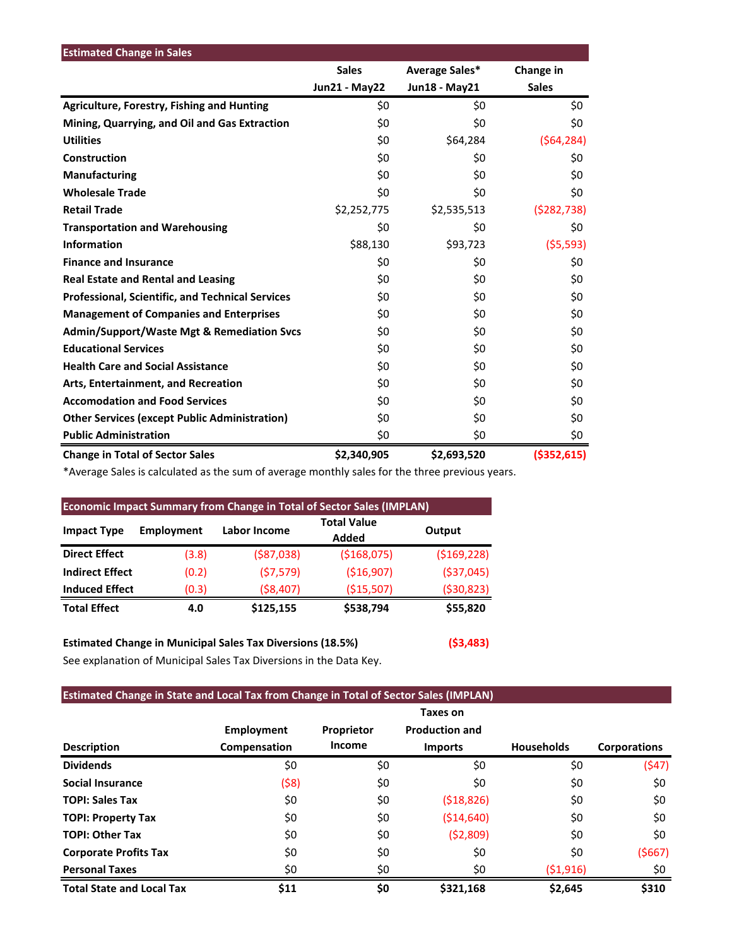| <b>Estimated Change in Sales</b>                        |                      |                |               |
|---------------------------------------------------------|----------------------|----------------|---------------|
|                                                         | <b>Sales</b>         | Average Sales* | Change in     |
|                                                         | <b>Jun21 - May22</b> | Jun18 - May21  | <b>Sales</b>  |
| <b>Agriculture, Forestry, Fishing and Hunting</b>       | \$0                  | \$0            | \$0           |
| Mining, Quarrying, and Oil and Gas Extraction           | \$0                  | \$0            | \$0           |
| <b>Utilities</b>                                        | \$0                  | \$64,284       | (564, 284)    |
| Construction                                            | \$0                  | \$0            | \$0           |
| <b>Manufacturing</b>                                    | \$0                  | \$0            | \$0           |
| <b>Wholesale Trade</b>                                  | \$0                  | \$0            | \$0           |
| <b>Retail Trade</b>                                     | \$2,252,775          | \$2,535,513    | (5282, 738)   |
| <b>Transportation and Warehousing</b>                   | \$0                  | \$0            | \$0           |
| <b>Information</b>                                      | \$88,130             | \$93,723       | (55, 593)     |
| <b>Finance and Insurance</b>                            | \$0                  | \$0            | \$0           |
| <b>Real Estate and Rental and Leasing</b>               | \$0                  | \$0            | \$0           |
| <b>Professional, Scientific, and Technical Services</b> | \$0                  | \$0            | \$0           |
| <b>Management of Companies and Enterprises</b>          | \$0                  | \$0            | \$0           |
| <b>Admin/Support/Waste Mgt &amp; Remediation Svcs</b>   | \$0                  | \$0            | \$0           |
| <b>Educational Services</b>                             | \$0                  | \$0            | \$0           |
| <b>Health Care and Social Assistance</b>                | \$0                  | \$0            | \$0           |
| Arts, Entertainment, and Recreation                     | \$0                  | \$0            | \$0           |
| <b>Accomodation and Food Services</b>                   | \$0                  | \$0            | \$0           |
| <b>Other Services (except Public Administration)</b>    | \$0                  | \$0            | \$0           |
| <b>Public Administration</b>                            | \$0                  | \$0            | \$0           |
| <b>Change in Total of Sector Sales</b>                  | \$2,340,905          | \$2,693,520    | ( \$352, 615) |

\*Average Sales is calculated as the sum of average monthly sales for the three previous years.

| <b>Economic Impact Summary from Change in Total of Sector Sales (IMPLAN)</b> |            |              |                             |               |  |  |  |  |
|------------------------------------------------------------------------------|------------|--------------|-----------------------------|---------------|--|--|--|--|
| <b>Impact Type</b>                                                           | Employment | Labor Income | <b>Total Value</b><br>Added | Output        |  |  |  |  |
| <b>Direct Effect</b>                                                         | (3.8)      | ( \$87,038)  | ( \$168,075)                | ( \$169, 228) |  |  |  |  |
| <b>Indirect Effect</b>                                                       | (0.2)      | (57, 579)    | ( \$16, 907)                | ( \$37,045)   |  |  |  |  |
| <b>Induced Effect</b>                                                        | (0.3)      | ( \$8,407)   | (\$15,507)                  | ( \$30, 823)  |  |  |  |  |
| <b>Total Effect</b>                                                          | 4.0        | \$125,155    | \$538,794                   | \$55,820      |  |  |  |  |

**Estimated Change in Municipal Sales Tax Diversions (18.5%) (\$3,483)** See explanation of Municipal Sales Tax Diversions in the Data Key.

# **Estimated Change in State and Local Tax from Change in Total of Sector Sales (IMPLAN)**

|                                  |                   |            | Taxes on              |                   |                     |
|----------------------------------|-------------------|------------|-----------------------|-------------------|---------------------|
|                                  | <b>Employment</b> | Proprietor | <b>Production and</b> |                   |                     |
| <b>Description</b>               | Compensation      | Income     | <b>Imports</b>        | <b>Households</b> | <b>Corporations</b> |
| <b>Dividends</b>                 | \$0               | \$0        | \$0                   | \$0               | (547)               |
| Social Insurance                 | (\$8)             | \$0        | \$0                   | \$0               | \$0                 |
| <b>TOPI: Sales Tax</b>           | \$0               | \$0        | (518, 826)            | \$0               | \$0                 |
| <b>TOPI: Property Tax</b>        | \$0               | \$0        | ( \$14,640)           | \$0               | \$0                 |
| <b>TOPI: Other Tax</b>           | \$0               | \$0        | (52,809)              | \$0               | \$0                 |
| <b>Corporate Profits Tax</b>     | \$0               | \$0        | \$0                   | \$0               | (5667)              |
| <b>Personal Taxes</b>            | \$0               | \$0        | \$0                   | (51,916)          | \$0                 |
| <b>Total State and Local Tax</b> | \$11              | \$0        | \$321,168             | \$2,645           | \$310               |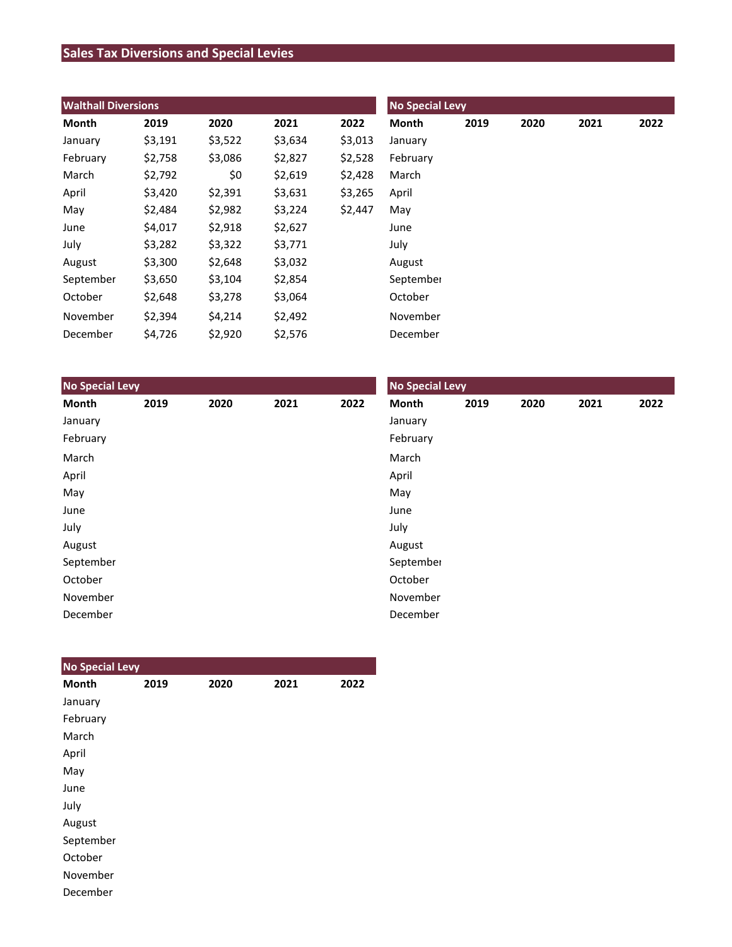# **Sales Tax Diversions and Special Levies**

| <b>Walthall Diversions</b> |         |         |         |         | <b>No Special Levy</b> |      |      |      |      |
|----------------------------|---------|---------|---------|---------|------------------------|------|------|------|------|
| Month                      | 2019    | 2020    | 2021    | 2022    | Month                  | 2019 | 2020 | 2021 | 2022 |
| January                    | \$3,191 | \$3,522 | \$3,634 | \$3,013 | January                |      |      |      |      |
| February                   | \$2,758 | \$3,086 | \$2,827 | \$2,528 | February               |      |      |      |      |
| March                      | \$2,792 | \$0     | \$2,619 | \$2,428 | March                  |      |      |      |      |
| April                      | \$3,420 | \$2,391 | \$3,631 | \$3,265 | April                  |      |      |      |      |
| May                        | \$2,484 | \$2,982 | \$3,224 | \$2,447 | May                    |      |      |      |      |
| June                       | \$4,017 | \$2,918 | \$2,627 |         | June                   |      |      |      |      |
| July                       | \$3,282 | \$3,322 | \$3,771 |         | July                   |      |      |      |      |
| August                     | \$3,300 | \$2,648 | \$3,032 |         | August                 |      |      |      |      |
| September                  | \$3,650 | \$3,104 | \$2,854 |         | September              |      |      |      |      |
| October                    | \$2,648 | \$3,278 | \$3,064 |         | October                |      |      |      |      |
| November                   | \$2,394 | \$4,214 | \$2,492 |         | November               |      |      |      |      |
| December                   | \$4,726 | \$2,920 | \$2,576 |         | December               |      |      |      |      |

| <b>No Special Levy</b> |      |      |      |      | <b>No Special Levy</b> |      |      |      |      |  |
|------------------------|------|------|------|------|------------------------|------|------|------|------|--|
| Month                  | 2019 | 2020 | 2021 | 2022 | Month                  | 2019 | 2020 | 2021 | 2022 |  |
| January                |      |      |      |      | January                |      |      |      |      |  |
| February               |      |      |      |      | February               |      |      |      |      |  |
| March                  |      |      |      |      | March                  |      |      |      |      |  |
| April                  |      |      |      |      | April                  |      |      |      |      |  |
| May                    |      |      |      |      | May                    |      |      |      |      |  |
| June                   |      |      |      |      | June                   |      |      |      |      |  |
| July                   |      |      |      |      | July                   |      |      |      |      |  |
| August                 |      |      |      |      | August                 |      |      |      |      |  |
| September              |      |      |      |      | September              |      |      |      |      |  |
| October                |      |      |      |      | October                |      |      |      |      |  |
| November               |      |      |      |      | November               |      |      |      |      |  |
| December               |      |      |      |      | December               |      |      |      |      |  |

| <b>No Special Levy</b> |      |      |      |      |
|------------------------|------|------|------|------|
| <b>Month</b>           | 2019 | 2020 | 2021 | 2022 |
| January                |      |      |      |      |
| February               |      |      |      |      |
| March                  |      |      |      |      |
| April                  |      |      |      |      |
| May                    |      |      |      |      |
| June                   |      |      |      |      |
| July                   |      |      |      |      |
| August                 |      |      |      |      |
| September              |      |      |      |      |
| October                |      |      |      |      |
| November               |      |      |      |      |
| December               |      |      |      |      |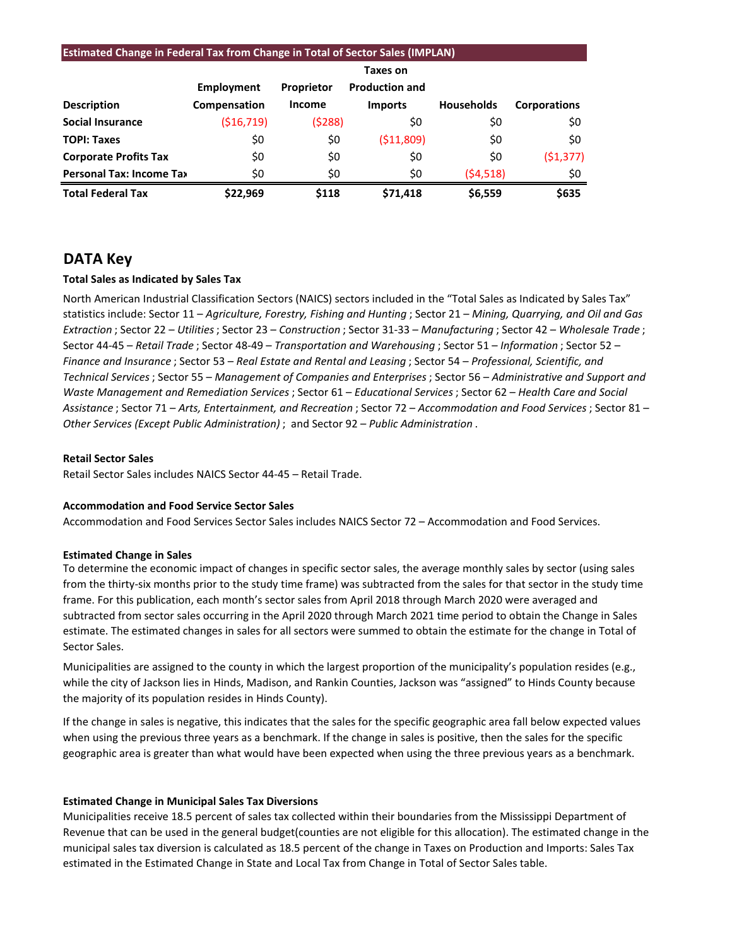| <b>Estimated Change in Federal Tax from Change in Total of Sector Sales (IMPLAN)</b> |              |               |                       |                   |                     |  |  |  |  |
|--------------------------------------------------------------------------------------|--------------|---------------|-----------------------|-------------------|---------------------|--|--|--|--|
|                                                                                      | Taxes on     |               |                       |                   |                     |  |  |  |  |
|                                                                                      | Employment   | Proprietor    | <b>Production and</b> |                   |                     |  |  |  |  |
| <b>Description</b>                                                                   | Compensation | <b>Income</b> | <b>Imports</b>        | <b>Households</b> | <b>Corporations</b> |  |  |  |  |
| <b>Social Insurance</b>                                                              | ( \$16, 719) | (5288)        | \$0                   | \$0               | \$0                 |  |  |  |  |
| <b>TOPI: Taxes</b>                                                                   | \$0          | \$0           | ( \$11,809)           | \$0               | \$0                 |  |  |  |  |
| <b>Corporate Profits Tax</b>                                                         | \$0          | \$0           | \$0                   | \$0               | (51, 377)           |  |  |  |  |
| <b>Personal Tax: Income Tax</b>                                                      | \$0          | \$0           | \$0                   | (54, 518)         | \$0                 |  |  |  |  |
| <b>Total Federal Tax</b>                                                             | \$22,969     | \$118         | \$71,418              | \$6,559           | \$635               |  |  |  |  |

# **DATA Key**

## **Total Sales as Indicated by Sales Tax**

North American Industrial Classification Sectors (NAICS) sectors included in the "Total Sales as Indicated by Sales Tax" statistics include: Sector 11 – *Agriculture, Forestry, Fishing and Hunting* ; Sector 21 – *Mining, Quarrying, and Oil and Gas Extraction* ; Sector 22 – *Utilities*; Sector 23 – *Construction* ; Sector 31-33 – *Manufacturing* ; Sector 42 – *Wholesale Trade* ; Sector 44-45 – *Retail Trade* ; Sector 48-49 – *Transportation and Warehousing* ; Sector 51 – *Information* ; Sector 52 – *Finance and Insurance* ; Sector 53 – *Real Estate and Rental and Leasing* ; Sector 54 – *Professional, Scientific, and Technical Services*; Sector 55 – *Management of Companies and Enterprises* ; Sector 56 – *Administrative and Support and Waste Management and Remediation Services* ; Sector 61 – *Educational Services*; Sector 62 – *Health Care and Social Assistance* ; Sector 71 – *Arts, Entertainment, and Recreation* ; Sector 72 – *Accommodation and Food Services* ; Sector 81 – *Other Services (Except Public Administration)* ; and Sector 92 – *Public Administration* .

#### **Retail Sector Sales**

Retail Sector Sales includes NAICS Sector 44-45 – Retail Trade.

## **Accommodation and Food Service Sector Sales**

Accommodation and Food Services Sector Sales includes NAICS Sector 72 – Accommodation and Food Services.

## **Estimated Change in Sales**

To determine the economic impact of changes in specific sector sales, the average monthly sales by sector (using sales from the thirty-six months prior to the study time frame) was subtracted from the sales for that sector in the study time frame. For this publication, each month's sector sales from April 2018 through March 2020 were averaged and subtracted from sector sales occurring in the April 2020 through March 2021 time period to obtain the Change in Sales estimate. The estimated changes in sales for all sectors were summed to obtain the estimate for the change in Total of Sector Sales.

Municipalities are assigned to the county in which the largest proportion of the municipality's population resides (e.g., while the city of Jackson lies in Hinds, Madison, and Rankin Counties, Jackson was "assigned" to Hinds County because the majority of its population resides in Hinds County).

If the change in sales is negative, this indicates that the sales for the specific geographic area fall below expected values when using the previous three years as a benchmark. If the change in sales is positive, then the sales for the specific geographic area is greater than what would have been expected when using the three previous years as a benchmark.

## **Estimated Change in Municipal Sales Tax Diversions**

Municipalities receive 18.5 percent of sales tax collected within their boundaries from the Mississippi Department of Revenue that can be used in the general budget(counties are not eligible for this allocation). The estimated change in the municipal sales tax diversion is calculated as 18.5 percent of the change in Taxes on Production and Imports: Sales Tax estimated in the Estimated Change in State and Local Tax from Change in Total of Sector Sales table.